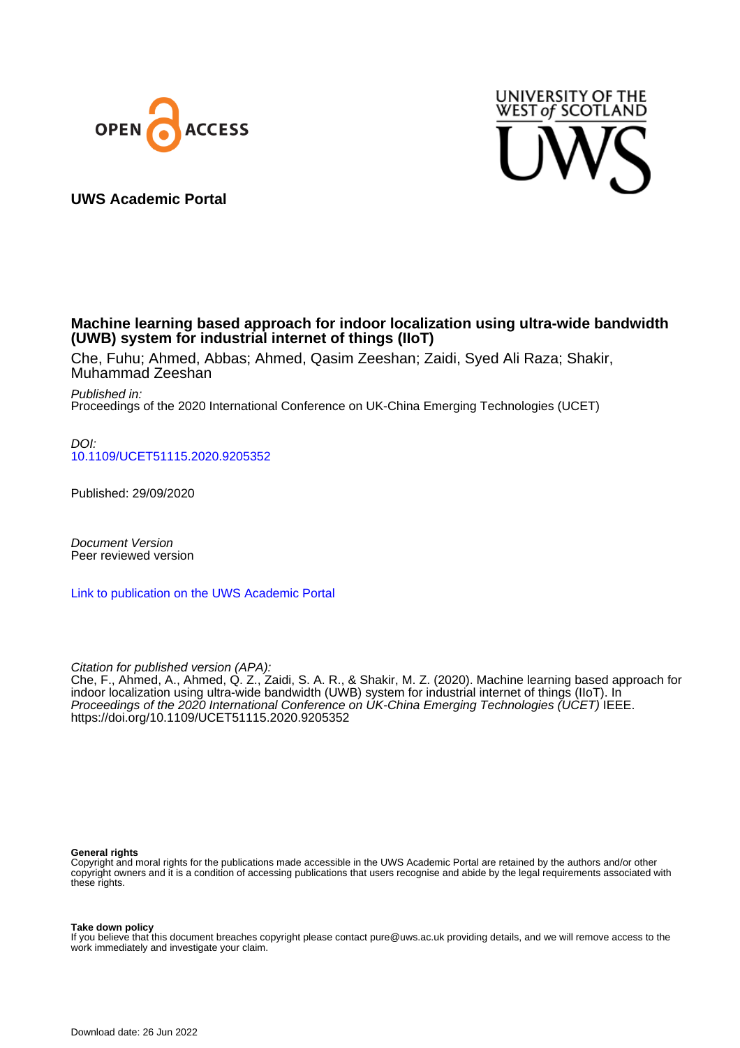



**UWS Academic Portal**

# **Machine learning based approach for indoor localization using ultra-wide bandwidth (UWB) system for industrial internet of things (IIoT)**

Che, Fuhu; Ahmed, Abbas; Ahmed, Qasim Zeeshan; Zaidi, Syed Ali Raza; Shakir, Muhammad Zeeshan

Published in: Proceedings of the 2020 International Conference on UK-China Emerging Technologies (UCET)

DOI: [10.1109/UCET51115.2020.9205352](https://doi.org/10.1109/UCET51115.2020.9205352)

Published: 29/09/2020

Document Version Peer reviewed version

[Link to publication on the UWS Academic Portal](https://uws.pure.elsevier.com/en/publications/097584c8-45fe-4541-9ba4-487c41a794f3)

Citation for published version (APA):

Che, F., Ahmed, A., Ahmed, Q. Z., Zaidi, S. A. R., & Shakir, M. Z. (2020). Machine learning based approach for indoor localization using ultra-wide bandwidth (UWB) system for industrial internet of things (IIoT). In Proceedings of the 2020 International Conference on UK-China Emerging Technologies (UCET) IEEE. <https://doi.org/10.1109/UCET51115.2020.9205352>

#### **General rights**

Copyright and moral rights for the publications made accessible in the UWS Academic Portal are retained by the authors and/or other copyright owners and it is a condition of accessing publications that users recognise and abide by the legal requirements associated with these rights.

**Take down policy**

If you believe that this document breaches copyright please contact pure@uws.ac.uk providing details, and we will remove access to the work immediately and investigate your claim.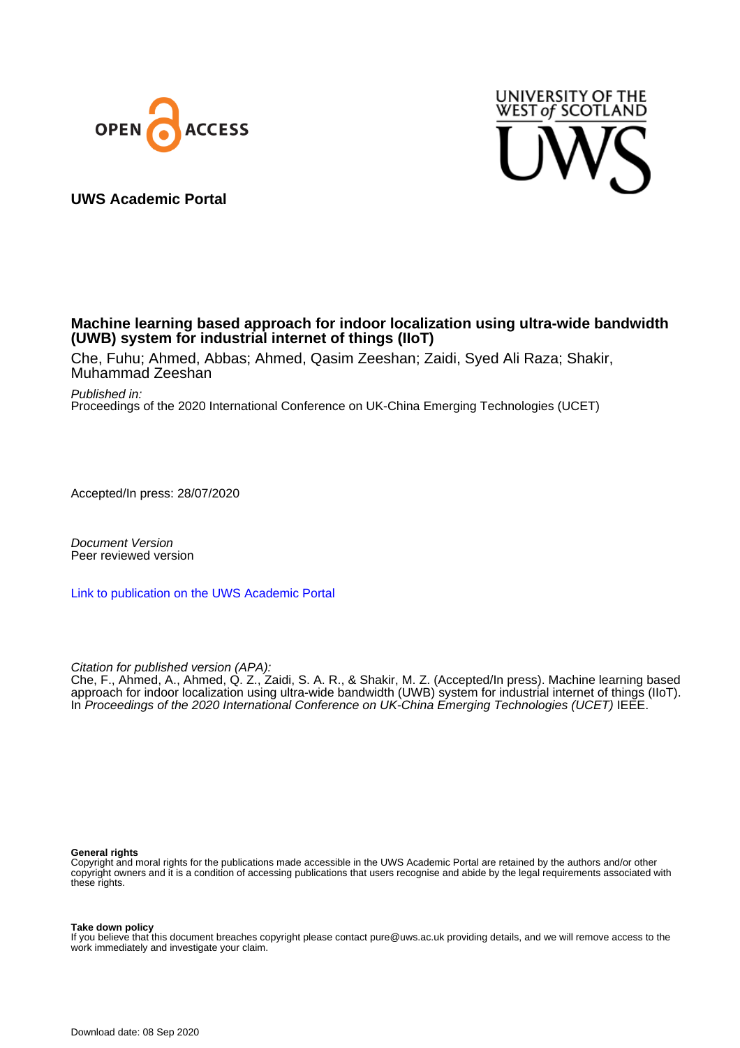



# **UWS Academic Portal**

# **Machine learning based approach for indoor localization using ultra-wide bandwidth (UWB) system for industrial internet of things (IIoT)**

Che, Fuhu; Ahmed, Abbas; Ahmed, Qasim Zeeshan; Zaidi, Syed Ali Raza; Shakir, Muhammad Zeeshan

Published in:

Proceedings of the 2020 International Conference on UK-China Emerging Technologies (UCET)

Accepted/In press: 28/07/2020

Document Version Peer reviewed version

[Link to publication on the UWS Academic Portal](https://myresearchspace.uws.ac.uk/portal/en/publications/machine-learning-based-approach-for-indoor-localization-using-ultrawide-bandwidth-uwb-system-for-industrial-internet-of-things-iiot(097584c8-45fe-4541-9ba4-487c41a794f3).html)

Citation for published version (APA):

Che, F., Ahmed, A., Ahmed, Q. Z., Zaidi, S. A. R., & Shakir, M. Z. (Accepted/In press). Machine learning based approach for indoor localization using ultra-wide bandwidth (UWB) system for industrial internet of things (IIoT). In Proceedings of the 2020 International Conference on UK-China Emerging Technologies (UCET) IEEE.

#### **General rights**

Copyright and moral rights for the publications made accessible in the UWS Academic Portal are retained by the authors and/or other copyright owners and it is a condition of accessing publications that users recognise and abide by the legal requirements associated with these rights.

**Take down policy**

If you believe that this document breaches copyright please contact pure@uws.ac.uk providing details, and we will remove access to the work immediately and investigate your claim.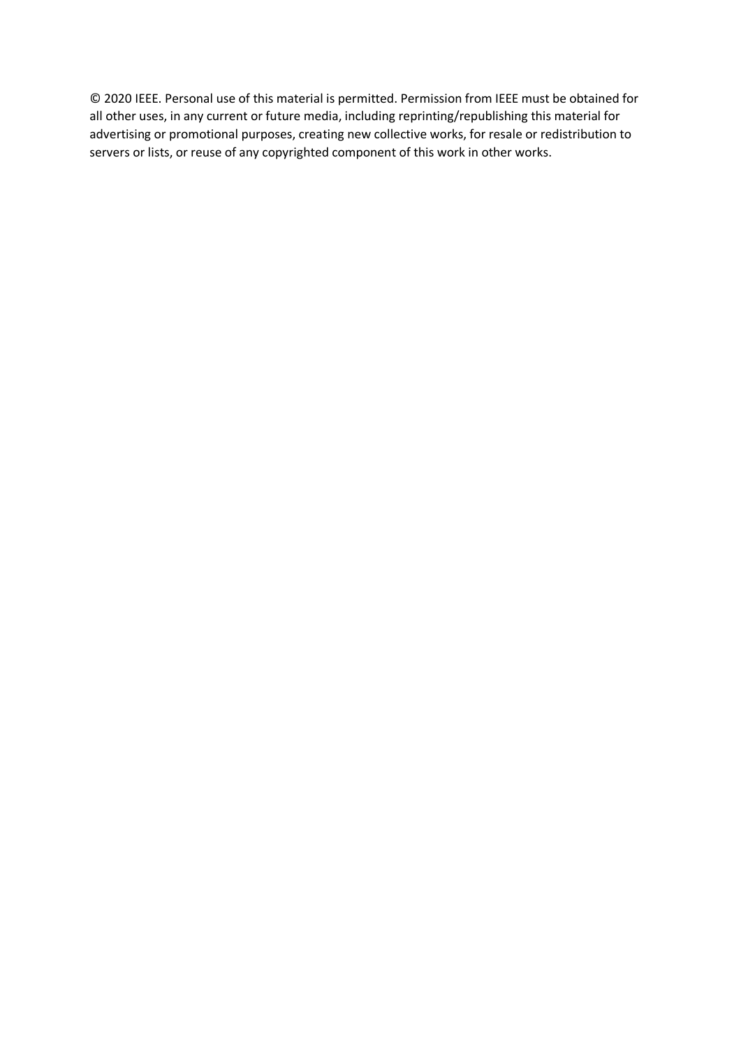© 2020 IEEE. Personal use of this material is permitted. Permission from IEEE must be obtained for all other uses, in any current or future media, including reprinting/republishing this material for advertising or promotional purposes, creating new collective works, for resale or redistribution to servers or lists, or reuse of any copyrighted component of this work in other works.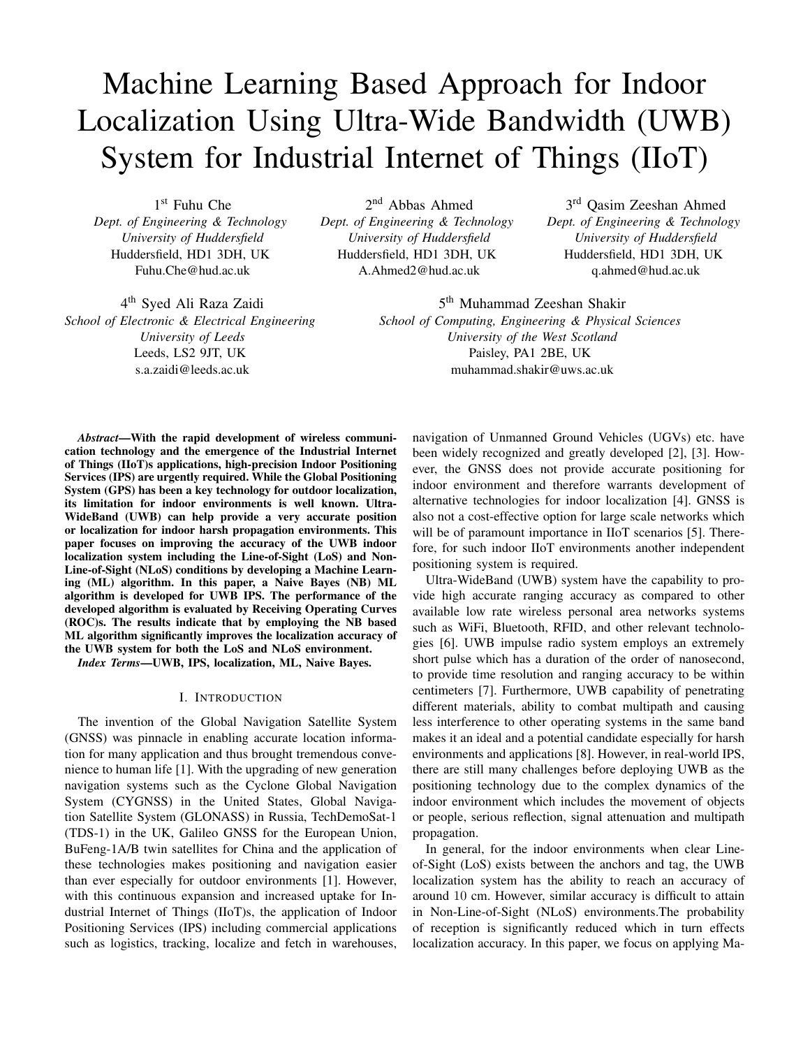# Machine Learning Based Approach for Indoor Localization Using Ultra-Wide Bandwidth (UWB) System for Industrial Internet of Things (IIoT)

1 st Fuhu Che *Dept. of Engineering & Technology University of Huddersfield* Huddersfield, HD1 3DH, UK Fuhu.Che@hud.ac.uk

2 nd Abbas Ahmed *Dept. of Engineering & Technology University of Huddersfield* Huddersfield, HD1 3DH, UK A.Ahmed2@hud.ac.uk

4<sup>th</sup> Syed Ali Raza Zaidi *School of Electronic & Electrical Engineering University of Leeds* Leeds, LS2 9JT, UK s.a.zaidi@leeds.ac.uk

5<sup>th</sup> Muhammad Zeeshan Shakir *School of Computing, Engineering & Physical Sciences University of the West Scotland* Paisley, PA1 2BE, UK muhammad.shakir@uws.ac.uk

*Abstract*—With the rapid development of wireless communication technology and the emergence of the Industrial Internet of Things (IIoT)s applications, high-precision Indoor Positioning Services (IPS) are urgently required. While the Global Positioning System (GPS) has been a key technology for outdoor localization, its limitation for indoor environments is well known. Ultra-WideBand (UWB) can help provide a very accurate position or localization for indoor harsh propagation environments. This paper focuses on improving the accuracy of the UWB indoor localization system including the Line-of-Sight (LoS) and Non-Line-of-Sight (NLoS) conditions by developing a Machine Learning (ML) algorithm. In this paper, a Naive Bayes (NB) ML algorithm is developed for UWB IPS. The performance of the developed algorithm is evaluated by Receiving Operating Curves (ROC)s. The results indicate that by employing the NB based ML algorithm significantly improves the localization accuracy of the UWB system for both the LoS and NLoS environment.

*Index Terms*—UWB, IPS, localization, ML, Naive Bayes.

## I. INTRODUCTION

The invention of the Global Navigation Satellite System (GNSS) was pinnacle in enabling accurate location information for many application and thus brought tremendous convenience to human life [1]. With the upgrading of new generation navigation systems such as the Cyclone Global Navigation System (CYGNSS) in the United States, Global Navigation Satellite System (GLONASS) in Russia, TechDemoSat-1 (TDS-1) in the UK, Galileo GNSS for the European Union, BuFeng-1A/B twin satellites for China and the application of these technologies makes positioning and navigation easier than ever especially for outdoor environments [1]. However, with this continuous expansion and increased uptake for Industrial Internet of Things (IIoT)s, the application of Indoor Positioning Services (IPS) including commercial applications such as logistics, tracking, localize and fetch in warehouses,

navigation of Unmanned Ground Vehicles (UGVs) etc. have been widely recognized and greatly developed [2], [3]. However, the GNSS does not provide accurate positioning for indoor environment and therefore warrants development of alternative technologies for indoor localization [4]. GNSS is also not a cost-effective option for large scale networks which will be of paramount importance in IIoT scenarios [5]. Therefore, for such indoor IIoT environments another independent positioning system is required.

3 rd Qasim Zeeshan Ahmed *Dept. of Engineering & Technology University of Huddersfield* Huddersfield, HD1 3DH, UK q.ahmed@hud.ac.uk

Ultra-WideBand (UWB) system have the capability to provide high accurate ranging accuracy as compared to other available low rate wireless personal area networks systems such as WiFi, Bluetooth, RFID, and other relevant technologies [6]. UWB impulse radio system employs an extremely short pulse which has a duration of the order of nanosecond, to provide time resolution and ranging accuracy to be within centimeters [7]. Furthermore, UWB capability of penetrating different materials, ability to combat multipath and causing less interference to other operating systems in the same band makes it an ideal and a potential candidate especially for harsh environments and applications [8]. However, in real-world IPS, there are still many challenges before deploying UWB as the positioning technology due to the complex dynamics of the indoor environment which includes the movement of objects or people, serious reflection, signal attenuation and multipath propagation.

In general, for the indoor environments when clear Lineof-Sight (LoS) exists between the anchors and tag, the UWB localization system has the ability to reach an accuracy of around 10 cm. However, similar accuracy is difficult to attain in Non-Line-of-Sight (NLoS) environments.The probability of reception is significantly reduced which in turn effects localization accuracy. In this paper, we focus on applying Ma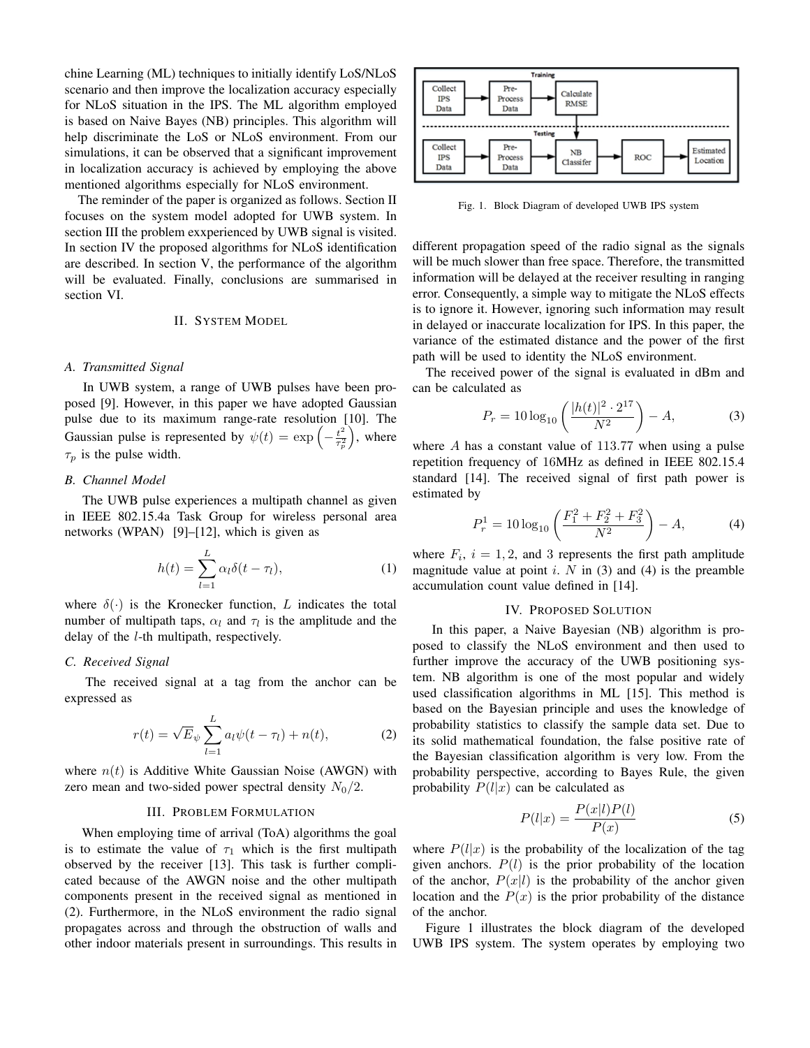chine Learning (ML) techniques to initially identify LoS/NLoS scenario and then improve the localization accuracy especially for NLoS situation in the IPS. The ML algorithm employed is based on Naive Bayes (NB) principles. This algorithm will help discriminate the LoS or NLoS environment. From our simulations, it can be observed that a significant improvement in localization accuracy is achieved by employing the above mentioned algorithms especially for NLoS environment.

The reminder of the paper is organized as follows. Section II focuses on the system model adopted for UWB system. In section III the problem exxperienced by UWB signal is visited. In section IV the proposed algorithms for NLoS identification are described. In section V, the performance of the algorithm will be evaluated. Finally, conclusions are summarised in section VI.

#### II. SYSTEM MODEL

## *A. Transmitted Signal*

In UWB system, a range of UWB pulses have been proposed [9]. However, in this paper we have adopted Gaussian pulse due to its maximum range-rate resolution [10]. The Gaussian pulse is represented by  $\psi(t) = \exp\left(-\frac{t^2}{\tau^2}\right)$  $\overline{\tau_p^2}$  , where  $\tau_p$  is the pulse width.

## *B. Channel Model*

The UWB pulse experiences a multipath channel as given in IEEE 802.15.4a Task Group for wireless personal area networks (WPAN) [9]–[12], which is given as

$$
h(t) = \sum_{l=1}^{L} \alpha_l \delta(t - \tau_l), \tag{1}
$$

where  $\delta(\cdot)$  is the Kronecker function, L indicates the total number of multipath taps,  $\alpha_l$  and  $\tau_l$  is the amplitude and the delay of the l-th multipath, respectively.

## *C. Received Signal*

The received signal at a tag from the anchor can be expressed as

$$
r(t) = \sqrt{E}_{\psi} \sum_{l=1}^{L} a_l \psi(t - \tau_l) + n(t), \qquad (2)
$$

where  $n(t)$  is Additive White Gaussian Noise (AWGN) with zero mean and two-sided power spectral density  $N_0/2$ .

#### III. PROBLEM FORMULATION

When employing time of arrival (ToA) algorithms the goal is to estimate the value of  $\tau_1$  which is the first multipath observed by the receiver [13]. This task is further complicated because of the AWGN noise and the other multipath components present in the received signal as mentioned in (2). Furthermore, in the NLoS environment the radio signal propagates across and through the obstruction of walls and other indoor materials present in surroundings. This results in



Fig. 1. Block Diagram of developed UWB IPS system

different propagation speed of the radio signal as the signals will be much slower than free space. Therefore, the transmitted information will be delayed at the receiver resulting in ranging error. Consequently, a simple way to mitigate the NLoS effects is to ignore it. However, ignoring such information may result in delayed or inaccurate localization for IPS. In this paper, the variance of the estimated distance and the power of the first path will be used to identity the NLoS environment.

The received power of the signal is evaluated in dBm and can be calculated as

$$
P_r = 10\log_{10}\left(\frac{|h(t)|^2 \cdot 2^{17}}{N^2}\right) - A,\tag{3}
$$

where  $\hat{A}$  has a constant value of 113.77 when using a pulse repetition frequency of 16MHz as defined in IEEE 802.15.4 standard [14]. The received signal of first path power is estimated by

$$
P_r^1 = 10 \log_{10} \left( \frac{F_1^2 + F_2^2 + F_3^2}{N^2} \right) - A,\tag{4}
$$

where  $F_i$ ,  $i = 1, 2$ , and 3 represents the first path amplitude magnitude value at point i.  $N$  in (3) and (4) is the preamble accumulation count value defined in [14].

#### IV. PROPOSED SOLUTION

In this paper, a Naive Bayesian (NB) algorithm is proposed to classify the NLoS environment and then used to further improve the accuracy of the UWB positioning system. NB algorithm is one of the most popular and widely used classification algorithms in ML [15]. This method is based on the Bayesian principle and uses the knowledge of probability statistics to classify the sample data set. Due to its solid mathematical foundation, the false positive rate of the Bayesian classification algorithm is very low. From the probability perspective, according to Bayes Rule, the given probability  $P(l|x)$  can be calculated as

$$
P(l|x) = \frac{P(x|l)P(l)}{P(x)}
$$
\n<sup>(5)</sup>

where  $P(l|x)$  is the probability of the localization of the tag given anchors.  $P(l)$  is the prior probability of the location of the anchor,  $P(x|l)$  is the probability of the anchor given location and the  $P(x)$  is the prior probability of the distance of the anchor.

Figure 1 illustrates the block diagram of the developed UWB IPS system. The system operates by employing two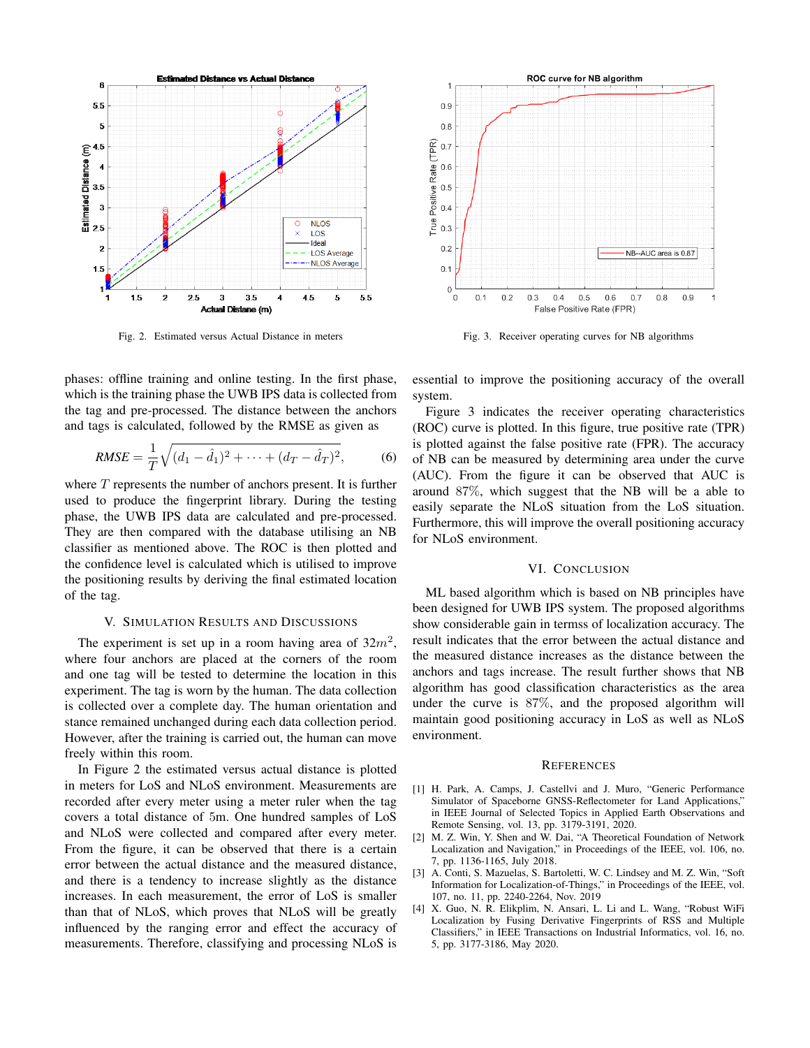

Fig. 2. Estimated versus Actual Distance in meters

phases: offline training and online testing. In the first phase, which is the training phase the UWB IPS data is collected from the tag and pre-processed. The distance between the anchors and tags is calculated, followed by the RMSE as given as

$$
RMSE = \frac{1}{T}\sqrt{(d_1 - \hat{d}_1)^2 + \dots + (d_T - \hat{d}_T)^2},\tag{6}
$$

where  $T$  represents the number of anchors present. It is further used to produce the fingerprint library. During the testing phase, the UWB IPS data are calculated and pre-processed. They are then compared with the database utilising an NB classifier as mentioned above. The ROC is then plotted and the confidence level is calculated which is utilised to improve the positioning results by deriving the final estimated location of the tag.

#### V. SIMULATION RESULTS AND DISCUSSIONS

The experiment is set up in a room having area of  $32m^2$ , where four anchors are placed at the corners of the room and one tag will be tested to determine the location in this experiment. The tag is worn by the human. The data collection is collected over a complete day. The human orientation and stance remained unchanged during each data collection period. However, after the training is carried out, the human can move freely within this room.

In Figure 2 the estimated versus actual distance is plotted in meters for LoS and NLoS environment. Measurements are recorded after every meter using a meter ruler when the tag covers a total distance of 5m. One hundred samples of LoS and NLoS were collected and compared after every meter. From the figure, it can be observed that there is a certain error between the actual distance and the measured distance, and there is a tendency to increase slightly as the distance increases. In each measurement, the error of LoS is smaller than that of NLoS, which proves that NLoS will be greatly influenced by the ranging error and effect the accuracy of measurements. Therefore, classifying and processing NLoS is



Fig. 3. Receiver operating curves for NB algorithms

essential to improve the positioning accuracy of the overall system.

Figure 3 indicates the receiver operating characteristics (ROC) curve is plotted. In this figure, true positive rate (TPR) is plotted against the false positive rate (FPR). The accuracy of NB can be measured by determining area under the curve (AUC). From the figure it can be observed that AUC is around 87%, which suggest that the NB will be a able to easily separate the NLoS situation from the LoS situation. Furthermore, this will improve the overall positioning accuracy for NLoS environment.

## VI. CONCLUSION

ML based algorithm which is based on NB principles have been designed for UWB IPS system. The proposed algorithms show considerable gain in termss of localization accuracy. The result indicates that the error between the actual distance and the measured distance increases as the distance between the anchors and tags increase. The result further shows that NB algorithm has good classification characteristics as the area under the curve is 87%, and the proposed algorithm will maintain good positioning accuracy in LoS as well as NLoS environment.

#### **REFERENCES**

- [1] H. Park, A. Camps, J. Castellvi and J. Muro, "Generic Performance Simulator of Spaceborne GNSS-Reflectometer for Land Applications," in IEEE Journal of Selected Topics in Applied Earth Observations and Remote Sensing, vol. 13, pp. 3179-3191, 2020.
- [2] M. Z. Win, Y. Shen and W. Dai, "A Theoretical Foundation of Network Localization and Navigation," in Proceedings of the IEEE, vol. 106, no. 7, pp. 1136-1165, July 2018.
- [3] A. Conti, S. Mazuelas, S. Bartoletti, W. C. Lindsey and M. Z. Win, "Soft Information for Localization-of-Things," in Proceedings of the IEEE, vol. 107, no. 11, pp. 2240-2264, Nov. 2019
- [4] X. Guo, N. R. Elikplim, N. Ansari, L. Li and L. Wang, "Robust WiFi Localization by Fusing Derivative Fingerprints of RSS and Multiple Classifiers," in IEEE Transactions on Industrial Informatics, vol. 16, no. 5, pp. 3177-3186, May 2020.